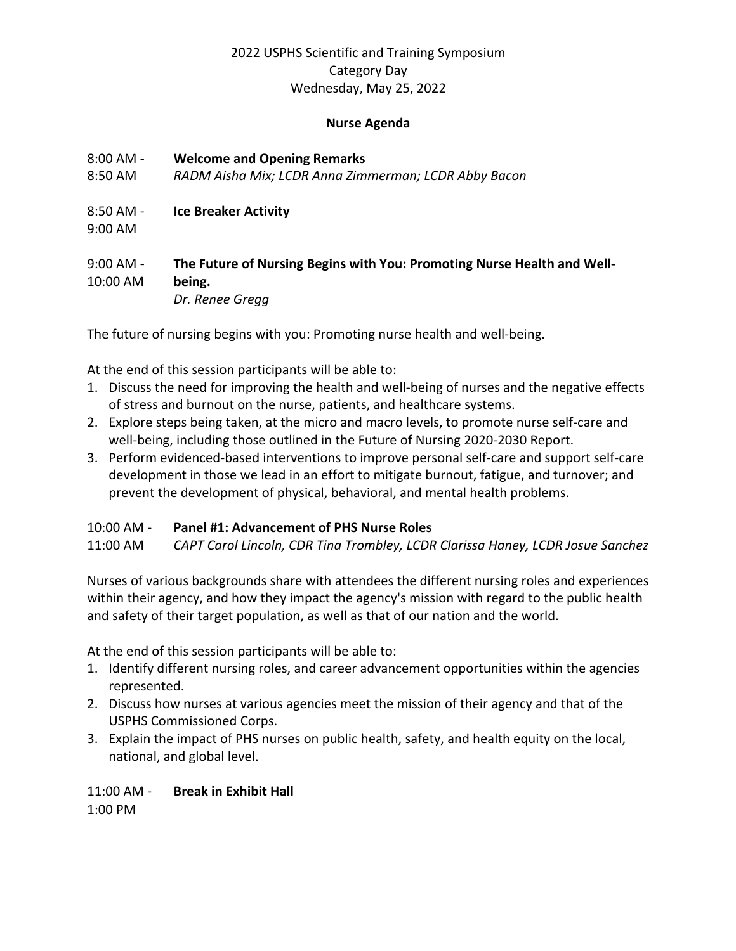## 2022 USPHS Scientific and Training Symposium Category Day Wednesday, May 25, 2022

#### **Nurse Agenda**

- 8:00 AM **Welcome and Opening Remarks**
- 8:50 AM *RADM Aisha Mix; LCDR Anna Zimmerman; LCDR Abby Bacon*
- 8:50 AM **Ice Breaker Activity**
- 9:00 AM

### 9:00 AM - **The Future of Nursing Begins with You: Promoting Nurse Health and Well-**10:00 AM **being.** *Dr. Renee Gregg*

The future of nursing begins with you: Promoting nurse health and well-being.

At the end of this session participants will be able to:

- 1. Discuss the need for improving the health and well-being of nurses and the negative effects of stress and burnout on the nurse, patients, and healthcare systems.
- 2. Explore steps being taken, at the micro and macro levels, to promote nurse self-care and well-being, including those outlined in the Future of Nursing 2020-2030 Report.
- 3. Perform evidenced-based interventions to improve personal self-care and support self-care development in those we lead in an effort to mitigate burnout, fatigue, and turnover; and prevent the development of physical, behavioral, and mental health problems.

### 10:00 AM - **Panel #1: Advancement of PHS Nurse Roles**

11:00 AM *CAPT Carol Lincoln, CDR Tina Trombley, LCDR Clarissa Haney, LCDR Josue Sanchez* 

Nurses of various backgrounds share with attendees the different nursing roles and experiences within their agency, and how they impact the agency's mission with regard to the public health and safety of their target population, as well as that of our nation and the world.

At the end of this session participants will be able to:

- 1. Identify different nursing roles, and career advancement opportunities within the agencies represented.
- 2. Discuss how nurses at various agencies meet the mission of their agency and that of the USPHS Commissioned Corps.
- 3. Explain the impact of PHS nurses on public health, safety, and health equity on the local, national, and global level.

# 11:00 AM - **Break in Exhibit Hall**

1:00 PM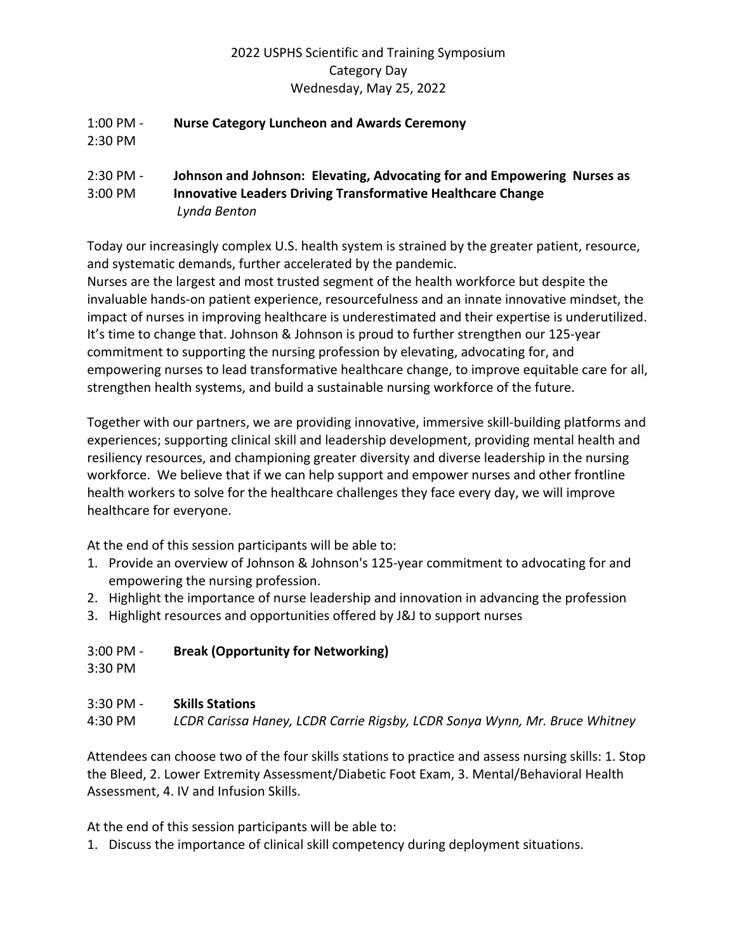## 2022 USPHS Scientific and Training Symposium Category Day Wednesday, May 25, 2022

#### 1:00 PM - **Nurse Category Luncheon and Awards Ceremony** 2:30 PM

### 2:30 PM - **Johnson and Johnson: Elevating, Advocating for and Empowering Nurses as**  3:00 PM **Innovative Leaders Driving Transformative Healthcare Change** *Lynda Benton*

Today our increasingly complex U.S. health system is strained by the greater patient, resource, and systematic demands, further accelerated by the pandemic.

Nurses are the largest and most trusted segment of the health workforce but despite the invaluable hands-on patient experience, resourcefulness and an innate innovative mindset, the impact of nurses in improving healthcare is underestimated and their expertise is underutilized. It's time to change that. Johnson & Johnson is proud to further strengthen our 125-year commitment to supporting the nursing profession by elevating, advocating for, and empowering nurses to lead transformative healthcare change, to improve equitable care for all, strengthen health systems, and build a sustainable nursing workforce of the future.

Together with our partners, we are providing innovative, immersive skill-building platforms and experiences; supporting clinical skill and leadership development, providing mental health and resiliency resources, and championing greater diversity and diverse leadership in the nursing workforce. We believe that if we can help support and empower nurses and other frontline health workers to solve for the healthcare challenges they face every day, we will improve healthcare for everyone.

At the end of this session participants will be able to:

- 1. Provide an overview of Johnson & Johnson's 125-year commitment to advocating for and empowering the nursing profession.
- 2. Highlight the importance of nurse leadership and innovation in advancing the profession
- 3. Highlight resources and opportunities offered by J&J to support nurses

# 3:00 PM - **Break (Opportunity for Networking)**

3:30 PM

### 3:30 PM - **Skills Stations**

4:30 PM *LCDR Carissa Haney, LCDR Carrie Rigsby, LCDR Sonya Wynn, Mr. Bruce Whitney* 

Attendees can choose two of the four skills stations to practice and assess nursing skills: 1. Stop the Bleed, 2. Lower Extremity Assessment/Diabetic Foot Exam, 3. Mental/Behavioral Health Assessment, 4. IV and Infusion Skills.

At the end of this session participants will be able to:

1. Discuss the importance of clinical skill competency during deployment situations.